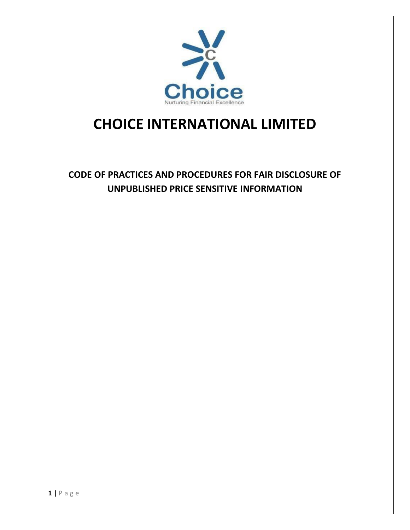

## **CHOICE INTERNATIONAL LIMITED**

**CODE OF PRACTICES AND PROCEDURES FOR FAIR DISCLOSURE OF UNPUBLISHED PRICE SENSITIVE INFORMATION**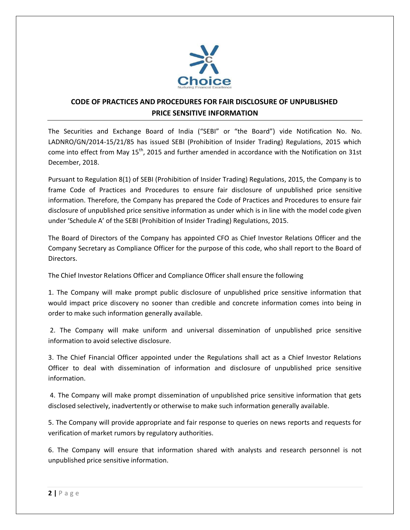

## **CODE OF PRACTICES AND PROCEDURES FOR FAIR DISCLOSURE OF UNPUBLISHED PRICE SENSITIVE INFORMATION**

The Securities and Exchange Board of India ("SEBI" or "the Board") vide Notification No. No. LADNRO/GN/2014-15/21/85 has issued SEBI (Prohibition of Insider Trading) Regulations, 2015 which come into effect from May 15<sup>th</sup>, 2015 and further amended in accordance with the Notification on 31st December, 2018.

Pursuant to Regulation 8(1) of SEBI (Prohibition of Insider Trading) Regulations, 2015, the Company is to frame Code of Practices and Procedures to ensure fair disclosure of unpublished price sensitive information. Therefore, the Company has prepared the Code of Practices and Procedures to ensure fair disclosure of unpublished price sensitive information as under which is in line with the model code given under 'Schedule A' of the SEBI (Prohibition of Insider Trading) Regulations, 2015.

The Board of Directors of the Company has appointed CFO as Chief Investor Relations Officer and the Company Secretary as Compliance Officer for the purpose of this code, who shall report to the Board of Directors.

The Chief Investor Relations Officer and Compliance Officer shall ensure the following

1. The Company will make prompt public disclosure of unpublished price sensitive information that would impact price discovery no sooner than credible and concrete information comes into being in order to make such information generally available.

2. The Company will make uniform and universal dissemination of unpublished price sensitive information to avoid selective disclosure.

3. The Chief Financial Officer appointed under the Regulations shall act as a Chief Investor Relations Officer to deal with dissemination of information and disclosure of unpublished price sensitive information.

4. The Company will make prompt dissemination of unpublished price sensitive information that gets disclosed selectively, inadvertently or otherwise to make such information generally available.

5. The Company will provide appropriate and fair response to queries on news reports and requests for verification of market rumors by regulatory authorities.

6. The Company will ensure that information shared with analysts and research personnel is not unpublished price sensitive information.